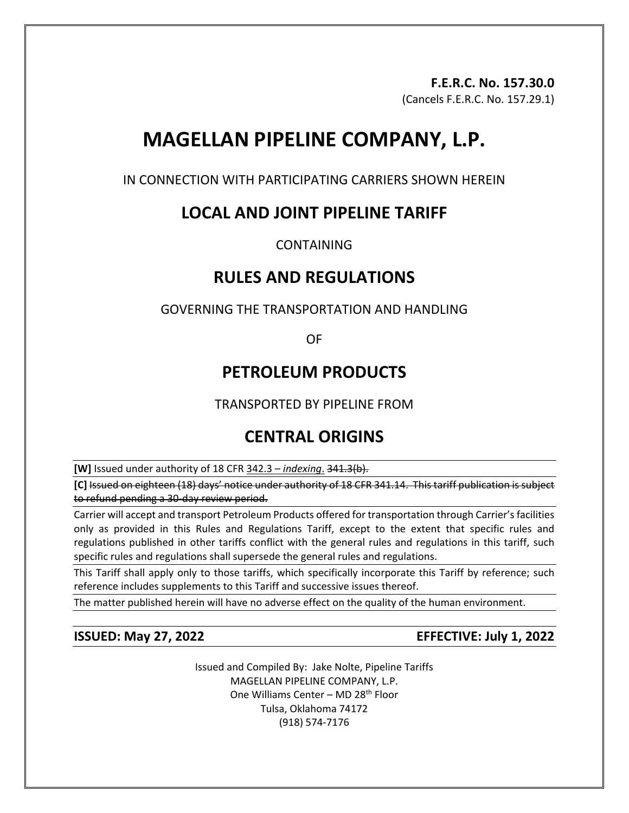## **F.E.R.C. No. 157.30.0**

(Cancels F.E.R.C. No. 157.29.1)

# **MAGELLAN PIPELINE COMPANY, L.P.**

IN CONNECTION WITH PARTICIPATING CARRIERS SHOWN HEREIN

## **LOCAL AND JOINT PIPELINE TARIFF**

CONTAINING

## **RULES AND REGULATIONS**

### GOVERNING THE TRANSPORTATION AND HANDLING

OF

## **PETROLEUM PRODUCTS**

TRANSPORTED BY PIPELINE FROM

## **CENTRAL ORIGINS**

**[W]** Issued under authority of 18 CFR 342.3 – *indexing*. 341.3(b).

**[C]** Issued on eighteen (18) days' notice under authority of 18 CFR 341.14. This tariff publication is subject to refund pending a 30-day review period.

Carrier will accept and transport Petroleum Products offered for transportation through Carrier's facilities only as provided in this Rules and Regulations Tariff, except to the extent that specific rules and regulations published in other tariffs conflict with the general rules and regulations in this tariff, such specific rules and regulations shall supersede the general rules and regulations.

This Tariff shall apply only to those tariffs, which specifically incorporate this Tariff by reference; such reference includes supplements to this Tariff and successive issues thereof.

The matter published herein will have no adverse effect on the quality of the human environment.

### **ISSUED: May 27, 2022 EFFECTIVE: July 1, 2022**

Issued and Compiled By: Jake Nolte, Pipeline Tariffs MAGELLAN PIPELINE COMPANY, L.P. One Williams Center – MD 28th Floor Tulsa, Oklahoma 74172 (918) 574-7176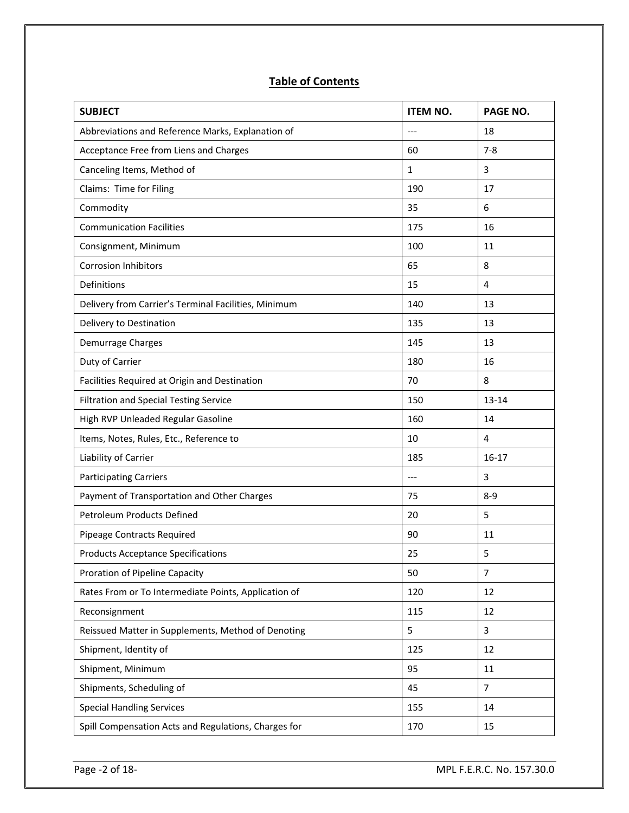### **Table of Contents**

| <b>SUBJECT</b>                                       | <b>ITEM NO.</b> | PAGE NO.       |
|------------------------------------------------------|-----------------|----------------|
| Abbreviations and Reference Marks, Explanation of    | $---$           | 18             |
| Acceptance Free from Liens and Charges               | 60              | $7 - 8$        |
| Canceling Items, Method of                           | $\mathbf{1}$    | 3              |
| Claims: Time for Filing                              | 190             | 17             |
| Commodity                                            | 35              | 6              |
| <b>Communication Facilities</b>                      | 175             | 16             |
| Consignment, Minimum                                 | 100             | 11             |
| <b>Corrosion Inhibitors</b>                          | 65              | 8              |
| Definitions                                          | 15              | 4              |
| Delivery from Carrier's Terminal Facilities, Minimum | 140             | 13             |
| Delivery to Destination                              | 135             | 13             |
| Demurrage Charges                                    | 145             | 13             |
| Duty of Carrier                                      | 180             | 16             |
| Facilities Required at Origin and Destination        | 70              | 8              |
| <b>Filtration and Special Testing Service</b>        | 150             | $13 - 14$      |
| High RVP Unleaded Regular Gasoline                   | 160             | 14             |
| Items, Notes, Rules, Etc., Reference to              | 10              | 4              |
| Liability of Carrier                                 | 185             | $16 - 17$      |
| <b>Participating Carriers</b>                        | $---$           | 3              |
| Payment of Transportation and Other Charges          | 75              | $8 - 9$        |
| <b>Petroleum Products Defined</b>                    | 20              | 5              |
| Pipeage Contracts Required                           | 90              | 11             |
| <b>Products Acceptance Specifications</b>            | 25              | 5              |
| Proration of Pipeline Capacity                       | 50              | $\overline{7}$ |
| Rates From or To Intermediate Points, Application of | 120             | 12             |
| Reconsignment                                        | 115             | 12             |
| Reissued Matter in Supplements, Method of Denoting   | 5               | 3              |
| Shipment, Identity of                                | 125             | 12             |
| Shipment, Minimum                                    | 95              | 11             |
| Shipments, Scheduling of                             | 45              | $\overline{7}$ |
| <b>Special Handling Services</b>                     | 155             | 14             |
| Spill Compensation Acts and Regulations, Charges for | 170             | 15             |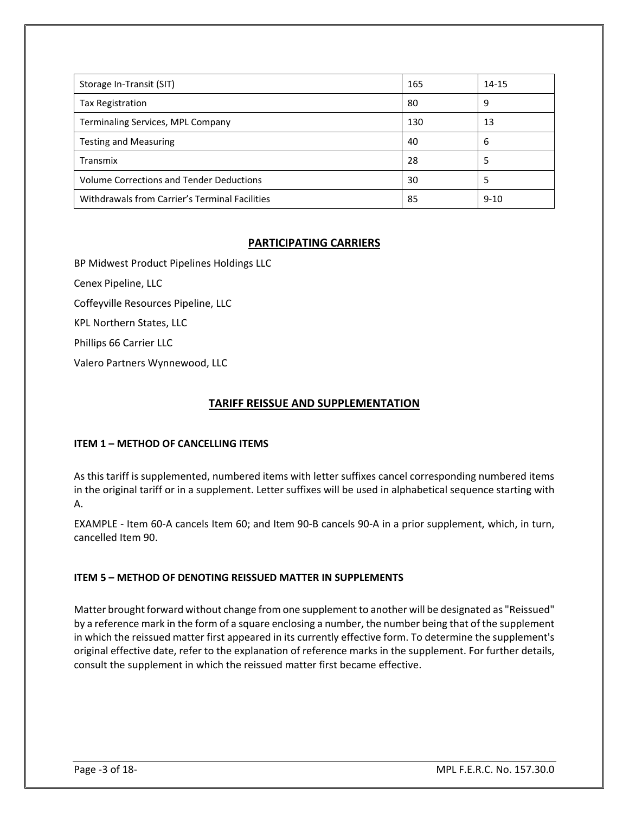| Storage In-Transit (SIT)                        | 165 | $14 - 15$ |
|-------------------------------------------------|-----|-----------|
| <b>Tax Registration</b>                         | 80  | 9         |
| Terminaling Services, MPL Company               | 130 | 13        |
| <b>Testing and Measuring</b>                    | 40  | 6         |
| Transmix                                        | 28  | 5         |
| <b>Volume Corrections and Tender Deductions</b> | 30  | 5         |
| Withdrawals from Carrier's Terminal Facilities  | 85  | $9 - 10$  |

#### **PARTICIPATING CARRIERS**

BP Midwest Product Pipelines Holdings LLC

Cenex Pipeline, LLC

Coffeyville Resources Pipeline, LLC

KPL Northern States, LLC

Phillips 66 Carrier LLC

Valero Partners Wynnewood, LLC

#### **TARIFF REISSUE AND SUPPLEMENTATION**

#### **ITEM 1 – METHOD OF CANCELLING ITEMS**

As this tariff is supplemented, numbered items with letter suffixes cancel corresponding numbered items in the original tariff or in a supplement. Letter suffixes will be used in alphabetical sequence starting with A.

EXAMPLE - Item 60-A cancels Item 60; and Item 90-B cancels 90-A in a prior supplement, which, in turn, cancelled Item 90.

#### **ITEM 5 – METHOD OF DENOTING REISSUED MATTER IN SUPPLEMENTS**

Matter brought forward without change from one supplement to another will be designated as "Reissued" by a reference mark in the form of a square enclosing a number, the number being that of the supplement in which the reissued matter first appeared in its currently effective form. To determine the supplement's original effective date, refer to the explanation of reference marks in the supplement. For further details, consult the supplement in which the reissued matter first became effective.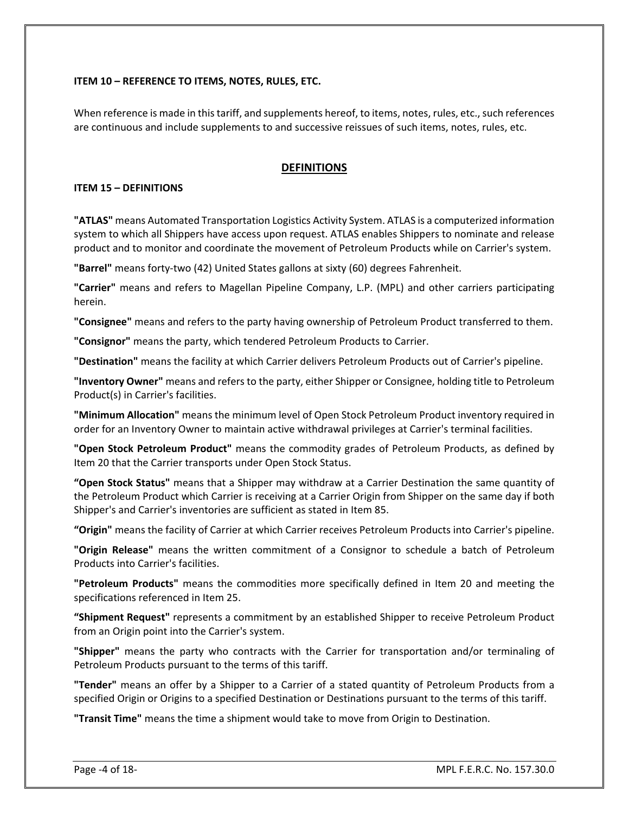#### **ITEM 10 – REFERENCE TO ITEMS, NOTES, RULES, ETC.**

When reference is made in this tariff, and supplements hereof, to items, notes, rules, etc., such references are continuous and include supplements to and successive reissues of such items, notes, rules, etc.

#### **DEFINITIONS**

#### **ITEM 15 – DEFINITIONS**

**"ATLAS"** means Automated Transportation Logistics Activity System. ATLAS is a computerized information system to which all Shippers have access upon request. ATLAS enables Shippers to nominate and release product and to monitor and coordinate the movement of Petroleum Products while on Carrier's system.

**"Barrel"** means forty-two (42) United States gallons at sixty (60) degrees Fahrenheit.

**"Carrier"** means and refers to Magellan Pipeline Company, L.P. (MPL) and other carriers participating herein.

**"Consignee"** means and refers to the party having ownership of Petroleum Product transferred to them.

**"Consignor"** means the party, which tendered Petroleum Products to Carrier.

**"Destination"** means the facility at which Carrier delivers Petroleum Products out of Carrier's pipeline.

**"Inventory Owner"** means and refers to the party, either Shipper or Consignee, holding title to Petroleum Product(s) in Carrier's facilities.

**"Minimum Allocation"** means the minimum level of Open Stock Petroleum Product inventory required in order for an Inventory Owner to maintain active withdrawal privileges at Carrier's terminal facilities.

**"Open Stock Petroleum Product"** means the commodity grades of Petroleum Products, as defined by Item 20 that the Carrier transports under Open Stock Status.

**"Open Stock Status"** means that a Shipper may withdraw at a Carrier Destination the same quantity of the Petroleum Product which Carrier is receiving at a Carrier Origin from Shipper on the same day if both Shipper's and Carrier's inventories are sufficient as stated in Item 85.

**"Origin"** means the facility of Carrier at which Carrier receives Petroleum Products into Carrier's pipeline.

**"Origin Release"** means the written commitment of a Consignor to schedule a batch of Petroleum Products into Carrier's facilities.

**"Petroleum Products"** means the commodities more specifically defined in Item 20 and meeting the specifications referenced in Item 25.

**"Shipment Request"** represents a commitment by an established Shipper to receive Petroleum Product from an Origin point into the Carrier's system.

**"Shipper"** means the party who contracts with the Carrier for transportation and/or terminaling of Petroleum Products pursuant to the terms of this tariff.

**"Tender"** means an offer by a Shipper to a Carrier of a stated quantity of Petroleum Products from a specified Origin or Origins to a specified Destination or Destinations pursuant to the terms of this tariff.

**"Transit Time"** means the time a shipment would take to move from Origin to Destination.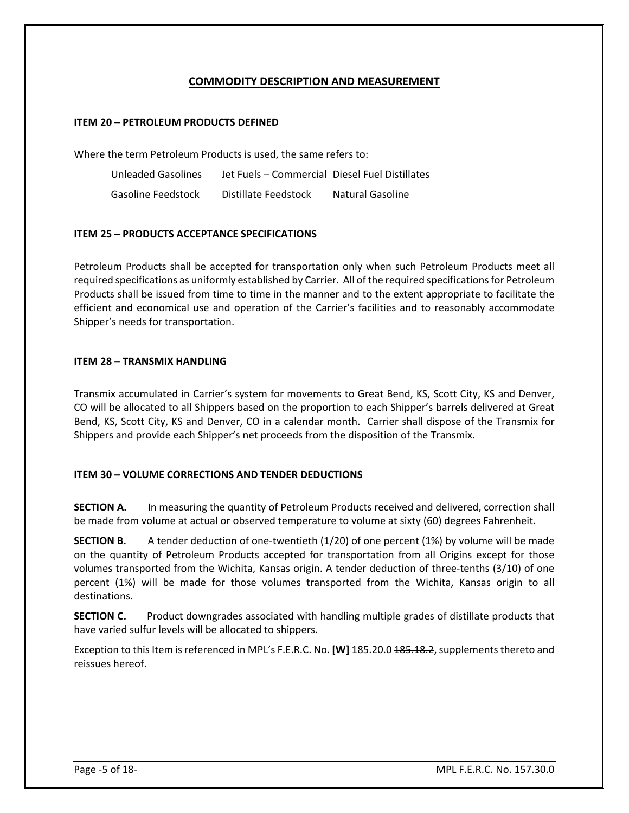#### **COMMODITY DESCRIPTION AND MEASUREMENT**

#### **ITEM 20 – PETROLEUM PRODUCTS DEFINED**

Where the term Petroleum Products is used, the same refers to:

Unleaded Gasolines Jet Fuels – Commercial Diesel Fuel Distillates Gasoline Feedstock Distillate Feedstock Natural Gasoline

#### **ITEM 25 – PRODUCTS ACCEPTANCE SPECIFICATIONS**

Petroleum Products shall be accepted for transportation only when such Petroleum Products meet all required specifications as uniformly established by Carrier. All of the required specifications for Petroleum Products shall be issued from time to time in the manner and to the extent appropriate to facilitate the efficient and economical use and operation of the Carrier's facilities and to reasonably accommodate Shipper's needs for transportation.

#### **ITEM 28 – TRANSMIX HANDLING**

Transmix accumulated in Carrier's system for movements to Great Bend, KS, Scott City, KS and Denver, CO will be allocated to all Shippers based on the proportion to each Shipper's barrels delivered at Great Bend, KS, Scott City, KS and Denver, CO in a calendar month. Carrier shall dispose of the Transmix for Shippers and provide each Shipper's net proceeds from the disposition of the Transmix.

#### **ITEM 30 – VOLUME CORRECTIONS AND TENDER DEDUCTIONS**

**SECTION A.** In measuring the quantity of Petroleum Products received and delivered, correction shall be made from volume at actual or observed temperature to volume at sixty (60) degrees Fahrenheit.

**SECTION B.** A tender deduction of one-twentieth (1/20) of one percent (1%) by volume will be made on the quantity of Petroleum Products accepted for transportation from all Origins except for those volumes transported from the Wichita, Kansas origin. A tender deduction of three-tenths (3/10) of one percent (1%) will be made for those volumes transported from the Wichita, Kansas origin to all destinations.

**SECTION C.** Product downgrades associated with handling multiple grades of distillate products that have varied sulfur levels will be allocated to shippers.

Exception to this Item is referenced in MPL's F.E.R.C. No. **[W]** 185.20.0 185.18.2, supplements thereto and reissues hereof.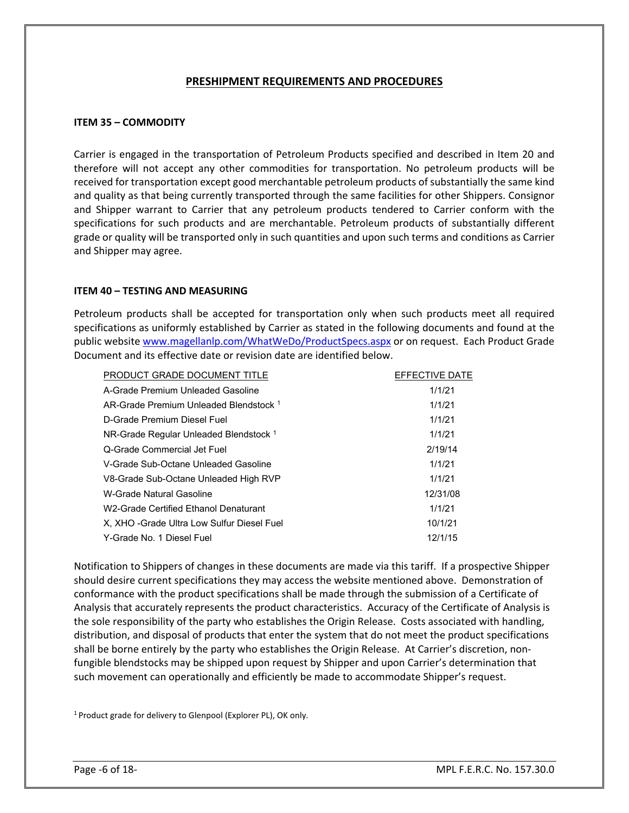#### **PRESHIPMENT REQUIREMENTS AND PROCEDURES**

#### **ITEM 35 – COMMODITY**

Carrier is engaged in the transportation of Petroleum Products specified and described in Item 20 and therefore will not accept any other commodities for transportation. No petroleum products will be received for transportation except good merchantable petroleum products of substantially the same kind and quality as that being currently transported through the same facilities for other Shippers. Consignor and Shipper warrant to Carrier that any petroleum products tendered to Carrier conform with the specifications for such products and are merchantable. Petroleum products of substantially different grade or quality will be transported only in such quantities and upon such terms and conditions as Carrier and Shipper may agree.

#### **ITEM 40 – TESTING AND MEASURING**

Petroleum products shall be accepted for transportation only when such products meet all required specifications as uniformly established by Carrier as stated in the following documents and found at the public website [www.magellanlp.com/WhatWeDo/ProductSpecs.aspx](http://www.magellanlp.com/WhatWeDo/ProductSpecs.asp) or on request. Each Product Grade Document and its effective date or revision date are identified below.

| PRODUCT GRADE DOCUMENT TITLE                      | EFFECTIVE DATE |
|---------------------------------------------------|----------------|
| A-Grade Premium Unleaded Gasoline                 | 1/1/21         |
| AR-Grade Premium Unleaded Blendstock 1            | 1/1/21         |
| D-Grade Premium Diesel Fuel                       | 1/1/21         |
| NR-Grade Regular Unleaded Blendstock <sup>1</sup> | 1/1/21         |
| Q-Grade Commercial Jet Fuel                       | 2/19/14        |
| V-Grade Sub-Octane Unleaded Gasoline              | 1/1/21         |
| V8-Grade Sub-Octane Unleaded High RVP             | 1/1/21         |
| W-Grade Natural Gasoline                          | 12/31/08       |
| W2-Grade Certified Ethanol Denaturant             | 1/1/21         |
| X, XHO - Grade Ultra Low Sulfur Diesel Fuel       | 10/1/21        |
| Y-Grade No. 1 Diesel Fuel                         | 12/1/15        |

Notification to Shippers of changes in these documents are made via this tariff. If a prospective Shipper should desire current specifications they may access the website mentioned above. Demonstration of conformance with the product specifications shall be made through the submission of a Certificate of Analysis that accurately represents the product characteristics. Accuracy of the Certificate of Analysis is the sole responsibility of the party who establishes the Origin Release. Costs associated with handling, distribution, and disposal of products that enter the system that do not meet the product specifications shall be borne entirely by the party who establishes the Origin Release.At Carrier's discretion, nonfungible blendstocks may be shipped upon request by Shipper and upon Carrier's determination that such movement can operationally and efficiently be made to accommodate Shipper's request.

<sup>1</sup> Product grade for delivery to Glenpool (Explorer PL), OK only.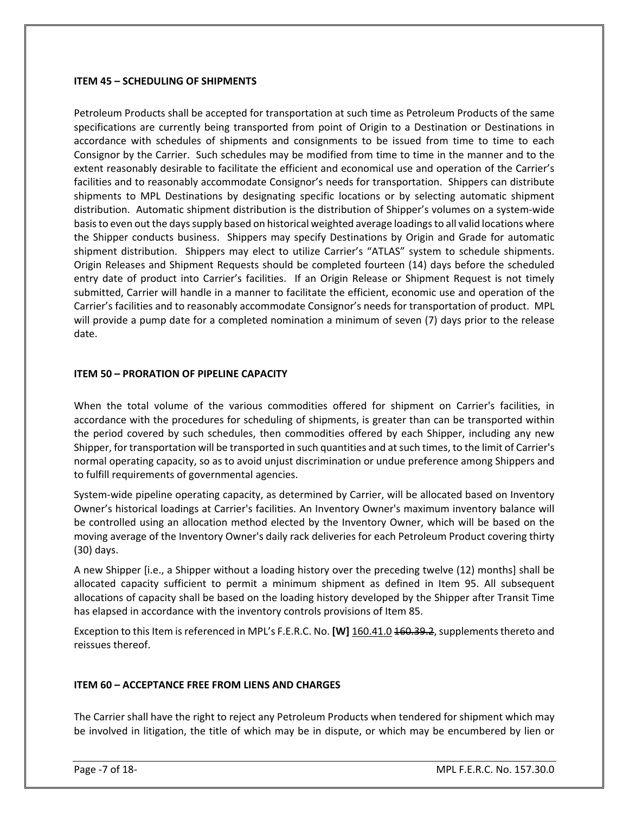#### **ITEM 45 – SCHEDULING OF SHIPMENTS**

Petroleum Products shall be accepted for transportation at such time as Petroleum Products of the same specifications are currently being transported from point of Origin to a Destination or Destinations in accordance with schedules of shipments and consignments to be issued from time to time to each Consignor by the Carrier. Such schedules may be modified from time to time in the manner and to the extent reasonably desirable to facilitate the efficient and economical use and operation of the Carrier's facilities and to reasonably accommodate Consignor's needs for transportation. Shippers can distribute shipments to MPL Destinations by designating specific locations or by selecting automatic shipment distribution. Automatic shipment distribution is the distribution of Shipper's volumes on a system-wide basis to even out the days supply based on historical weighted average loadings to all valid locations where the Shipper conducts business. Shippers may specify Destinations by Origin and Grade for automatic shipment distribution. Shippers may elect to utilize Carrier's "ATLAS" system to schedule shipments. Origin Releases and Shipment Requests should be completed fourteen (14) days before the scheduled entry date of product into Carrier's facilities. If an Origin Release or Shipment Request is not timely submitted, Carrier will handle in a manner to facilitate the efficient, economic use and operation of the Carrier's facilities and to reasonably accommodate Consignor's needs for transportation of product. MPL will provide a pump date for a completed nomination a minimum of seven (7) days prior to the release date.

#### **ITEM 50 – PRORATION OF PIPELINE CAPACITY**

When the total volume of the various commodities offered for shipment on Carrier's facilities, in accordance with the procedures for scheduling of shipments, is greater than can be transported within the period covered by such schedules, then commodities offered by each Shipper, including any new Shipper, for transportation will be transported in such quantities and at such times, to the limit of Carrier's normal operating capacity, so as to avoid unjust discrimination or undue preference among Shippers and to fulfill requirements of governmental agencies.

System-wide pipeline operating capacity, as determined by Carrier, will be allocated based on Inventory Owner's historical loadings at Carrier's facilities. An Inventory Owner's maximum inventory balance will be controlled using an allocation method elected by the Inventory Owner, which will be based on the moving average of the Inventory Owner's daily rack deliveries for each Petroleum Product covering thirty (30) days.

A new Shipper [i.e., a Shipper without a loading history over the preceding twelve (12) months] shall be allocated capacity sufficient to permit a minimum shipment as defined in Item 95. All subsequent allocations of capacity shall be based on the loading history developed by the Shipper after Transit Time has elapsed in accordance with the inventory controls provisions of Item 85.

Exception to this Item is referenced in MPL's F.E.R.C. No. **[W]** 160.41.0 160.39.2, supplements thereto and reissues thereof.

#### **ITEM 60 – ACCEPTANCE FREE FROM LIENS AND CHARGES**

The Carrier shall have the right to reject any Petroleum Products when tendered for shipment which may be involved in litigation, the title of which may be in dispute, or which may be encumbered by lien or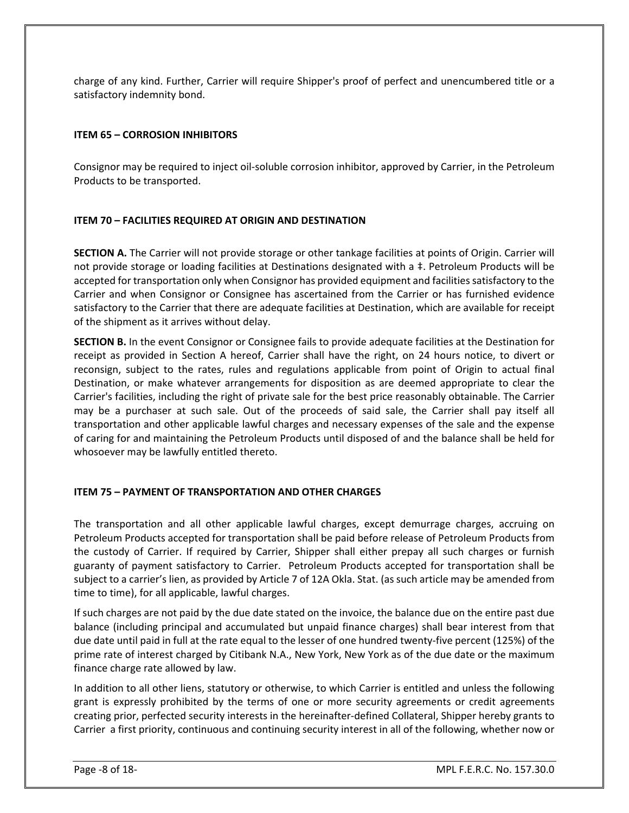charge of any kind. Further, Carrier will require Shipper's proof of perfect and unencumbered title or a satisfactory indemnity bond.

#### **ITEM 65 – CORROSION INHIBITORS**

Consignor may be required to inject oil-soluble corrosion inhibitor, approved by Carrier, in the Petroleum Products to be transported.

#### **ITEM 70 – FACILITIES REQUIRED AT ORIGIN AND DESTINATION**

**SECTION A.** The Carrier will not provide storage or other tankage facilities at points of Origin. Carrier will not provide storage or loading facilities at Destinations designated with a ‡. Petroleum Products will be accepted for transportation only when Consignor has provided equipment and facilities satisfactory to the Carrier and when Consignor or Consignee has ascertained from the Carrier or has furnished evidence satisfactory to the Carrier that there are adequate facilities at Destination, which are available for receipt of the shipment as it arrives without delay.

**SECTION B.** In the event Consignor or Consignee fails to provide adequate facilities at the Destination for receipt as provided in Section A hereof, Carrier shall have the right, on 24 hours notice, to divert or reconsign, subject to the rates, rules and regulations applicable from point of Origin to actual final Destination, or make whatever arrangements for disposition as are deemed appropriate to clear the Carrier's facilities, including the right of private sale for the best price reasonably obtainable. The Carrier may be a purchaser at such sale. Out of the proceeds of said sale, the Carrier shall pay itself all transportation and other applicable lawful charges and necessary expenses of the sale and the expense of caring for and maintaining the Petroleum Products until disposed of and the balance shall be held for whosoever may be lawfully entitled thereto.

#### **ITEM 75 – PAYMENT OF TRANSPORTATION AND OTHER CHARGES**

The transportation and all other applicable lawful charges, except demurrage charges, accruing on Petroleum Products accepted for transportation shall be paid before release of Petroleum Products from the custody of Carrier. If required by Carrier, Shipper shall either prepay all such charges or furnish guaranty of payment satisfactory to Carrier. Petroleum Products accepted for transportation shall be subject to a carrier's lien, as provided by Article 7 of 12A Okla. Stat. (as such article may be amended from time to time), for all applicable, lawful charges.

If such charges are not paid by the due date stated on the invoice, the balance due on the entire past due balance (including principal and accumulated but unpaid finance charges) shall bear interest from that due date until paid in full at the rate equal to the lesser of one hundred twenty-five percent (125%) of the prime rate of interest charged by Citibank N.A., New York, New York as of the due date or the maximum finance charge rate allowed by law.

In addition to all other liens, statutory or otherwise, to which Carrier is entitled and unless the following grant is expressly prohibited by the terms of one or more security agreements or credit agreements creating prior, perfected security interests in the hereinafter-defined Collateral, Shipper hereby grants to Carrier a first priority, continuous and continuing security interest in all of the following, whether now or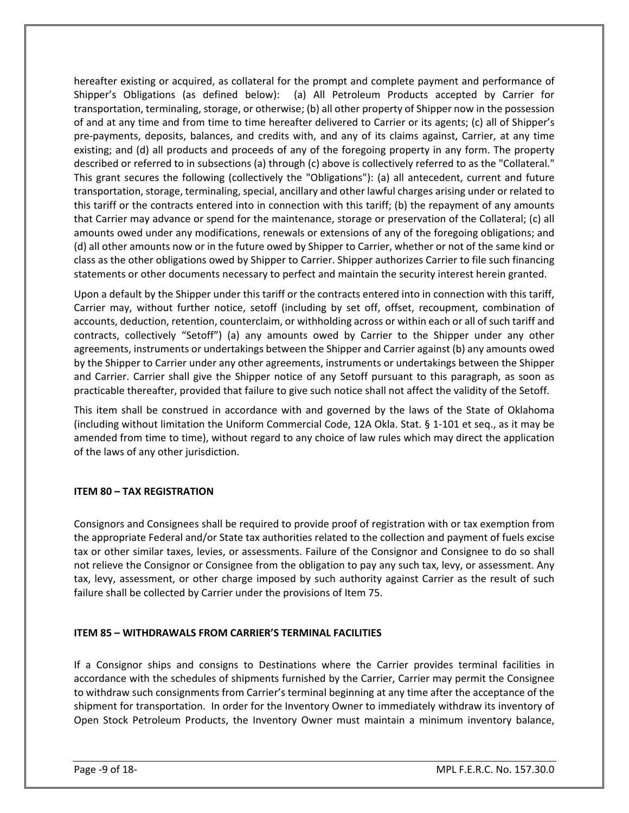hereafter existing or acquired, as collateral for the prompt and complete payment and performance of Shipper's Obligations (as defined below): (a) All Petroleum Products accepted by Carrier for transportation, terminaling, storage, or otherwise; (b) all other property of Shipper now in the possession of and at any time and from time to time hereafter delivered to Carrier or its agents; (c) all of Shipper's pre-payments, deposits, balances, and credits with, and any of its claims against, Carrier, at any time existing; and (d) all products and proceeds of any of the foregoing property in any form. The property described or referred to in subsections (a) through (c) above is collectively referred to as the "Collateral." This grant secures the following (collectively the "Obligations"): (a) all antecedent, current and future transportation, storage, terminaling, special, ancillary and other lawful charges arising under or related to this tariff or the contracts entered into in connection with this tariff; (b) the repayment of any amounts that Carrier may advance or spend for the maintenance, storage or preservation of the Collateral; (c) all amounts owed under any modifications, renewals or extensions of any of the foregoing obligations; and (d) all other amounts now or in the future owed by Shipper to Carrier, whether or not of the same kind or class as the other obligations owed by Shipper to Carrier. Shipper authorizes Carrier to file such financing statements or other documents necessary to perfect and maintain the security interest herein granted.

Upon a default by the Shipper under this tariff or the contracts entered into in connection with this tariff, Carrier may, without further notice, setoff (including by set off, offset, recoupment, combination of accounts, deduction, retention, counterclaim, or withholding across or within each or all of such tariff and contracts, collectively "Setoff") (a) any amounts owed by Carrier to the Shipper under any other agreements, instruments or undertakings between the Shipper and Carrier against (b) any amounts owed by the Shipper to Carrier under any other agreements, instruments or undertakings between the Shipper and Carrier. Carrier shall give the Shipper notice of any Setoff pursuant to this paragraph, as soon as practicable thereafter, provided that failure to give such notice shall not affect the validity of the Setoff.

This item shall be construed in accordance with and governed by the laws of the State of Oklahoma (including without limitation the Uniform Commercial Code, 12A Okla. Stat. § 1-101 et seq., as it may be amended from time to time), without regard to any choice of law rules which may direct the application of the laws of any other jurisdiction.

#### **ITEM 80 – TAX REGISTRATION**

Consignors and Consignees shall be required to provide proof of registration with or tax exemption from the appropriate Federal and/or State tax authorities related to the collection and payment of fuels excise tax or other similar taxes, levies, or assessments. Failure of the Consignor and Consignee to do so shall not relieve the Consignor or Consignee from the obligation to pay any such tax, levy, or assessment. Any tax, levy, assessment, or other charge imposed by such authority against Carrier as the result of such failure shall be collected by Carrier under the provisions of Item 75.

#### **ITEM 85 – WITHDRAWALS FROM CARRIER'S TERMINAL FACILITIES**

If a Consignor ships and consigns to Destinations where the Carrier provides terminal facilities in accordance with the schedules of shipments furnished by the Carrier, Carrier may permit the Consignee to withdraw such consignments from Carrier's terminal beginning at any time after the acceptance of the shipment for transportation. In order for the Inventory Owner to immediately withdraw its inventory of Open Stock Petroleum Products, the Inventory Owner must maintain a minimum inventory balance,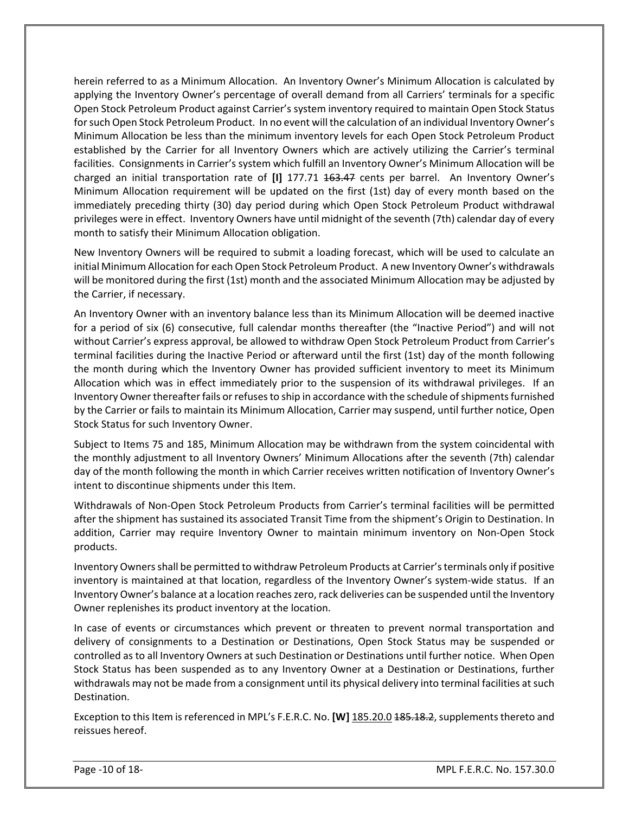herein referred to as a Minimum Allocation. An Inventory Owner's Minimum Allocation is calculated by applying the Inventory Owner's percentage of overall demand from all Carriers' terminals for a specific Open Stock Petroleum Product against Carrier's system inventory required to maintain Open Stock Status for such Open Stock Petroleum Product. In no event will the calculation of an individual Inventory Owner's Minimum Allocation be less than the minimum inventory levels for each Open Stock Petroleum Product established by the Carrier for all Inventory Owners which are actively utilizing the Carrier's terminal facilities. Consignments in Carrier's system which fulfill an Inventory Owner's Minimum Allocation will be charged an initial transportation rate of [I] 177.71 163.47 cents per barrel. An Inventory Owner's Minimum Allocation requirement will be updated on the first (1st) day of every month based on the immediately preceding thirty (30) day period during which Open Stock Petroleum Product withdrawal privileges were in effect. Inventory Owners have until midnight of the seventh (7th) calendar day of every month to satisfy their Minimum Allocation obligation.

New Inventory Owners will be required to submit a loading forecast, which will be used to calculate an initial Minimum Allocation for each Open Stock Petroleum Product. A new Inventory Owner's withdrawals will be monitored during the first (1st) month and the associated Minimum Allocation may be adjusted by the Carrier, if necessary.

An Inventory Owner with an inventory balance less than its Minimum Allocation will be deemed inactive for a period of six (6) consecutive, full calendar months thereafter (the "Inactive Period") and will not without Carrier's express approval, be allowed to withdraw Open Stock Petroleum Product from Carrier's terminal facilities during the Inactive Period or afterward until the first (1st) day of the month following the month during which the Inventory Owner has provided sufficient inventory to meet its Minimum Allocation which was in effect immediately prior to the suspension of its withdrawal privileges. If an Inventory Owner thereafter fails or refuses to ship in accordance with the schedule of shipments furnished by the Carrier or fails to maintain its Minimum Allocation, Carrier may suspend, until further notice, Open Stock Status for such Inventory Owner.

Subject to Items 75 and 185, Minimum Allocation may be withdrawn from the system coincidental with the monthly adjustment to all Inventory Owners' Minimum Allocations after the seventh (7th) calendar day of the month following the month in which Carrier receives written notification of Inventory Owner's intent to discontinue shipments under this Item.

Withdrawals of Non-Open Stock Petroleum Products from Carrier's terminal facilities will be permitted after the shipment has sustained its associated Transit Time from the shipment's Origin to Destination. In addition, Carrier may require Inventory Owner to maintain minimum inventory on Non-Open Stock products.

Inventory Owners shall be permitted to withdraw Petroleum Products at Carrier's terminals only if positive inventory is maintained at that location, regardless of the Inventory Owner's system-wide status. If an Inventory Owner's balance at a location reaches zero, rack deliveries can be suspended until the Inventory Owner replenishes its product inventory at the location.

In case of events or circumstances which prevent or threaten to prevent normal transportation and delivery of consignments to a Destination or Destinations, Open Stock Status may be suspended or controlled as to all Inventory Owners at such Destination or Destinations until further notice. When Open Stock Status has been suspended as to any Inventory Owner at a Destination or Destinations, further withdrawals may not be made from a consignment until its physical delivery into terminal facilities at such Destination.

Exception to this Item is referenced in MPL's F.E.R.C. No. **[W]** 185.20.0 185.18.2, supplements thereto and reissues hereof.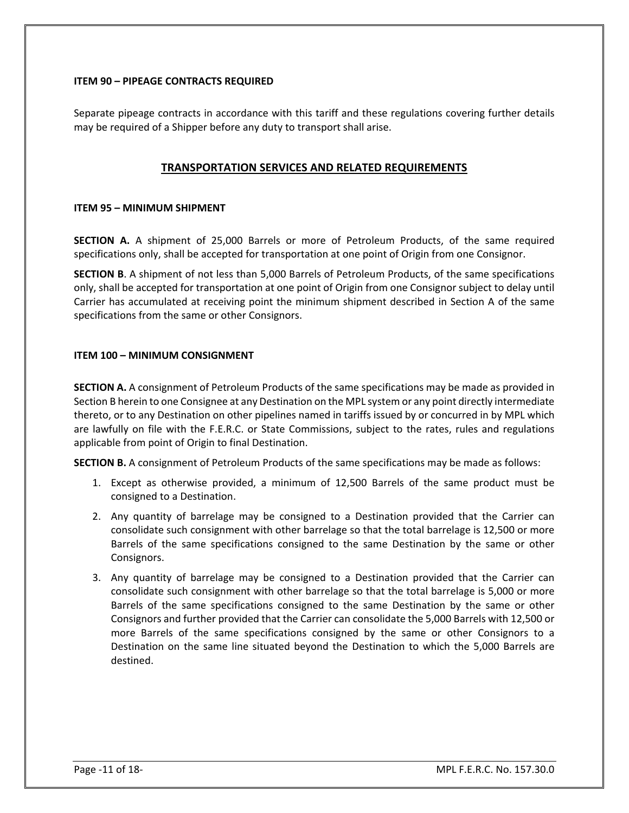#### **ITEM 90 – PIPEAGE CONTRACTS REQUIRED**

Separate pipeage contracts in accordance with this tariff and these regulations covering further details may be required of a Shipper before any duty to transport shall arise.

#### **TRANSPORTATION SERVICES AND RELATED REQUIREMENTS**

#### **ITEM 95 – MINIMUM SHIPMENT**

**SECTION A.** A shipment of 25,000 Barrels or more of Petroleum Products, of the same required specifications only, shall be accepted for transportation at one point of Origin from one Consignor.

**SECTION B**. A shipment of not less than 5,000 Barrels of Petroleum Products, of the same specifications only, shall be accepted for transportation at one point of Origin from one Consignor subject to delay until Carrier has accumulated at receiving point the minimum shipment described in Section A of the same specifications from the same or other Consignors.

#### **ITEM 100 – MINIMUM CONSIGNMENT**

**SECTION A.** A consignment of Petroleum Products of the same specifications may be made as provided in Section B herein to one Consignee at any Destination on the MPL system or any point directly intermediate thereto, or to any Destination on other pipelines named in tariffs issued by or concurred in by MPL which are lawfully on file with the F.E.R.C. or State Commissions, subject to the rates, rules and regulations applicable from point of Origin to final Destination.

**SECTION B.** A consignment of Petroleum Products of the same specifications may be made as follows:

- 1. Except as otherwise provided, a minimum of 12,500 Barrels of the same product must be consigned to a Destination.
- 2. Any quantity of barrelage may be consigned to a Destination provided that the Carrier can consolidate such consignment with other barrelage so that the total barrelage is 12,500 or more Barrels of the same specifications consigned to the same Destination by the same or other Consignors.
- 3. Any quantity of barrelage may be consigned to a Destination provided that the Carrier can consolidate such consignment with other barrelage so that the total barrelage is 5,000 or more Barrels of the same specifications consigned to the same Destination by the same or other Consignors and further provided that the Carrier can consolidate the 5,000 Barrels with 12,500 or more Barrels of the same specifications consigned by the same or other Consignors to a Destination on the same line situated beyond the Destination to which the 5,000 Barrels are destined.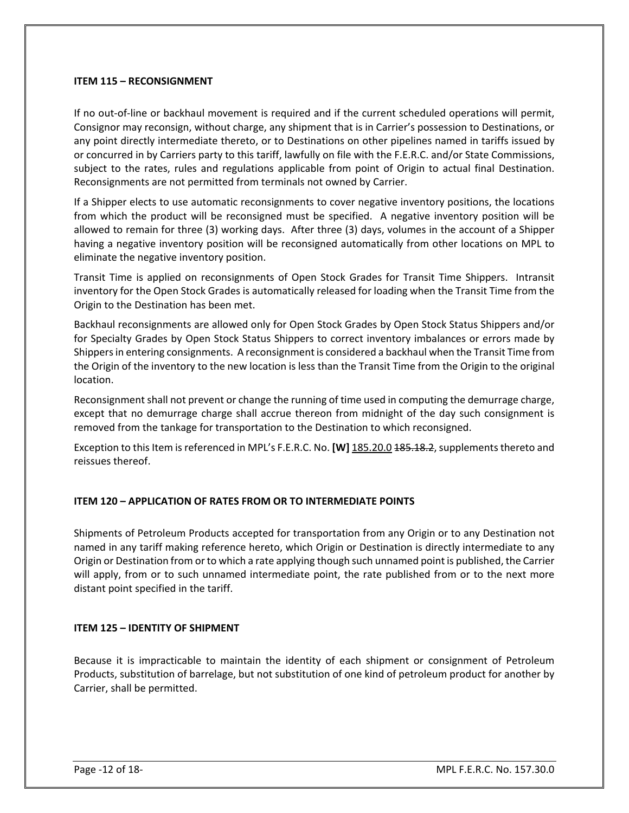#### **ITEM 115 – RECONSIGNMENT**

If no out-of-line or backhaul movement is required and if the current scheduled operations will permit, Consignor may reconsign, without charge, any shipment that is in Carrier's possession to Destinations, or any point directly intermediate thereto, or to Destinations on other pipelines named in tariffs issued by or concurred in by Carriers party to this tariff, lawfully on file with the F.E.R.C. and/or State Commissions, subject to the rates, rules and regulations applicable from point of Origin to actual final Destination. Reconsignments are not permitted from terminals not owned by Carrier.

If a Shipper elects to use automatic reconsignments to cover negative inventory positions, the locations from which the product will be reconsigned must be specified. A negative inventory position will be allowed to remain for three (3) working days. After three (3) days, volumes in the account of a Shipper having a negative inventory position will be reconsigned automatically from other locations on MPL to eliminate the negative inventory position.

Transit Time is applied on reconsignments of Open Stock Grades for Transit Time Shippers. Intransit inventory for the Open Stock Grades is automatically released for loading when the Transit Time from the Origin to the Destination has been met.

Backhaul reconsignments are allowed only for Open Stock Grades by Open Stock Status Shippers and/or for Specialty Grades by Open Stock Status Shippers to correct inventory imbalances or errors made by Shippers in entering consignments. A reconsignment is considered a backhaul when the Transit Time from the Origin of the inventory to the new location is less than the Transit Time from the Origin to the original location.

Reconsignment shall not prevent or change the running of time used in computing the demurrage charge, except that no demurrage charge shall accrue thereon from midnight of the day such consignment is removed from the tankage for transportation to the Destination to which reconsigned.

Exception to this Item is referenced in MPL's F.E.R.C. No. **[W]** 185.20.0 185.18.2, supplements thereto and reissues thereof.

#### **ITEM 120 – APPLICATION OF RATES FROM OR TO INTERMEDIATE POINTS**

Shipments of Petroleum Products accepted for transportation from any Origin or to any Destination not named in any tariff making reference hereto, which Origin or Destination is directly intermediate to any Origin or Destination from or to which a rate applying though such unnamed point is published, the Carrier will apply, from or to such unnamed intermediate point, the rate published from or to the next more distant point specified in the tariff.

#### **ITEM 125 – IDENTITY OF SHIPMENT**

Because it is impracticable to maintain the identity of each shipment or consignment of Petroleum Products, substitution of barrelage, but not substitution of one kind of petroleum product for another by Carrier, shall be permitted.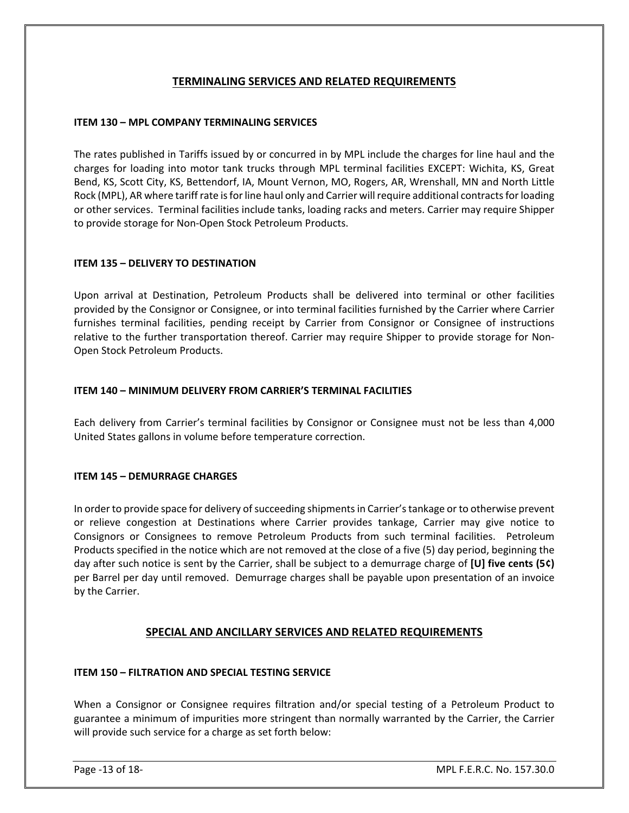#### **TERMINALING SERVICES AND RELATED REQUIREMENTS**

#### **ITEM 130 – MPL COMPANY TERMINALING SERVICES**

The rates published in Tariffs issued by or concurred in by MPL include the charges for line haul and the charges for loading into motor tank trucks through MPL terminal facilities EXCEPT: Wichita, KS, Great Bend, KS, Scott City, KS, Bettendorf, IA, Mount Vernon, MO, Rogers, AR, Wrenshall, MN and North Little Rock (MPL), AR where tariff rate is for line haul only and Carrier will require additional contracts for loading or other services. Terminal facilities include tanks, loading racks and meters. Carrier may require Shipper to provide storage for Non-Open Stock Petroleum Products.

#### **ITEM 135 – DELIVERY TO DESTINATION**

Upon arrival at Destination, Petroleum Products shall be delivered into terminal or other facilities provided by the Consignor or Consignee, or into terminal facilities furnished by the Carrier where Carrier furnishes terminal facilities, pending receipt by Carrier from Consignor or Consignee of instructions relative to the further transportation thereof. Carrier may require Shipper to provide storage for Non-Open Stock Petroleum Products.

#### **ITEM 140 – MINIMUM DELIVERY FROM CARRIER'S TERMINAL FACILITIES**

Each delivery from Carrier's terminal facilities by Consignor or Consignee must not be less than 4,000 United States gallons in volume before temperature correction.

#### **ITEM 145 – DEMURRAGE CHARGES**

In order to provide space for delivery of succeeding shipments in Carrier's tankage or to otherwise prevent or relieve congestion at Destinations where Carrier provides tankage, Carrier may give notice to Consignors or Consignees to remove Petroleum Products from such terminal facilities. Petroleum Products specified in the notice which are not removed at the close of a five (5) day period, beginning the day after such notice is sent by the Carrier, shall be subject to a demurrage charge of **[U] five cents (5¢)** per Barrel per day until removed. Demurrage charges shall be payable upon presentation of an invoice by the Carrier.

#### **SPECIAL AND ANCILLARY SERVICES AND RELATED REQUIREMENTS**

#### **ITEM 150 – FILTRATION AND SPECIAL TESTING SERVICE**

When a Consignor or Consignee requires filtration and/or special testing of a Petroleum Product to guarantee a minimum of impurities more stringent than normally warranted by the Carrier, the Carrier will provide such service for a charge as set forth below: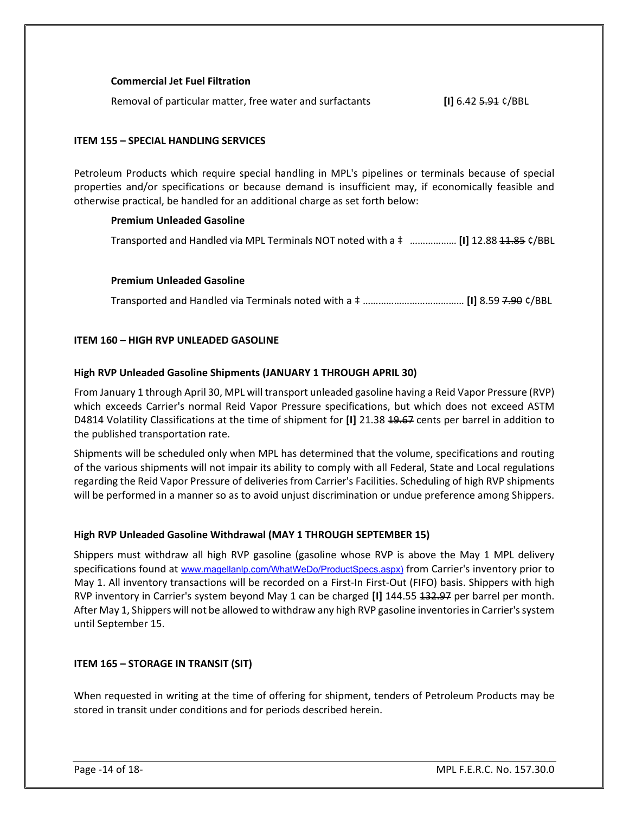#### **Commercial Jet Fuel Filtration**

Removal of particular matter, free water and surfactants **[I]** 6.42 5.91 ¢/BBL

#### **ITEM 155 – SPECIAL HANDLING SERVICES**

Petroleum Products which require special handling in MPL's pipelines or terminals because of special properties and/or specifications or because demand is insufficient may, if economically feasible and otherwise practical, be handled for an additional charge as set forth below:

#### **Premium Unleaded Gasoline**

Transported and Handled via MPL Terminals NOT noted with a ‡ ……………… **[I]** 12.88 11.85 ¢/BBL

#### **Premium Unleaded Gasoline**

Transported and Handled via Terminals noted with a ‡ ………………………………… **[I]** 8.59 7.90 ¢/BBL

#### **ITEM 160 – HIGH RVP UNLEADED GASOLINE**

#### **High RVP Unleaded Gasoline Shipments (JANUARY 1 THROUGH APRIL 30)**

From January 1 through April 30, MPL will transport unleaded gasoline having a Reid Vapor Pressure (RVP) which exceeds Carrier's normal Reid Vapor Pressure specifications, but which does not exceed ASTM D4814 Volatility Classifications at the time of shipment for **[I]** 21.38 19.67 cents per barrel in addition to the published transportation rate.

Shipments will be scheduled only when MPL has determined that the volume, specifications and routing of the various shipments will not impair its ability to comply with all Federal, State and Local regulations regarding the Reid Vapor Pressure of deliveries from Carrier's Facilities. Scheduling of high RVP shipments will be performed in a manner so as to avoid unjust discrimination or undue preference among Shippers.

#### **High RVP Unleaded Gasoline Withdrawal (MAY 1 THROUGH SEPTEMBER 15)**

Shippers must withdraw all high RVP gasoline (gasoline whose RVP is above the May 1 MPL delivery specifications found at [www.magellanlp.com/WhatWeDo/ProductSpecs.aspx](http://www.magellanlp.com/WhatWeDo/ProductSpecs.asp)) from Carrier's inventory prior to May 1. All inventory transactions will be recorded on a First-In First-Out (FIFO) basis. Shippers with high RVP inventory in Carrier's system beyond May 1 can be charged **[I]** 144.55 132.97 per barrel per month. After May 1, Shippers will not be allowed to withdraw any high RVP gasoline inventories in Carrier's system until September 15.

#### **ITEM 165 – STORAGE IN TRANSIT (SIT)**

When requested in writing at the time of offering for shipment, tenders of Petroleum Products may be stored in transit under conditions and for periods described herein.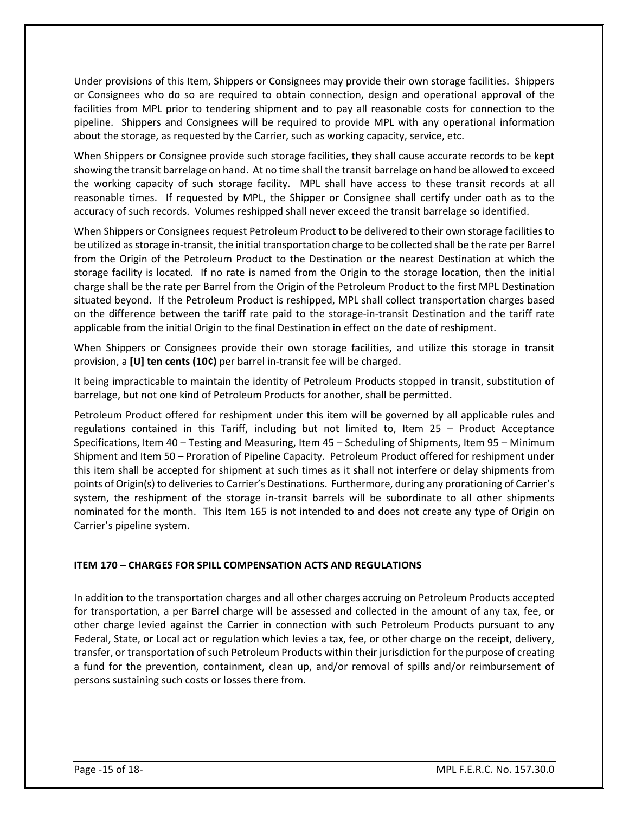Under provisions of this Item, Shippers or Consignees may provide their own storage facilities. Shippers or Consignees who do so are required to obtain connection, design and operational approval of the facilities from MPL prior to tendering shipment and to pay all reasonable costs for connection to the pipeline. Shippers and Consignees will be required to provide MPL with any operational information about the storage, as requested by the Carrier, such as working capacity, service, etc.

When Shippers or Consignee provide such storage facilities, they shall cause accurate records to be kept showing the transit barrelage on hand. At no time shall the transit barrelage on hand be allowed to exceed the working capacity of such storage facility. MPL shall have access to these transit records at all reasonable times. If requested by MPL, the Shipper or Consignee shall certify under oath as to the accuracy of such records. Volumes reshipped shall never exceed the transit barrelage so identified.

When Shippers or Consignees request Petroleum Product to be delivered to their own storage facilities to be utilized as storage in-transit, the initial transportation charge to be collected shall be the rate per Barrel from the Origin of the Petroleum Product to the Destination or the nearest Destination at which the storage facility is located. If no rate is named from the Origin to the storage location, then the initial charge shall be the rate per Barrel from the Origin of the Petroleum Product to the first MPL Destination situated beyond. If the Petroleum Product is reshipped, MPL shall collect transportation charges based on the difference between the tariff rate paid to the storage-in-transit Destination and the tariff rate applicable from the initial Origin to the final Destination in effect on the date of reshipment.

When Shippers or Consignees provide their own storage facilities, and utilize this storage in transit provision, a **[U] ten cents (10¢)** per barrel in-transit fee will be charged.

It being impracticable to maintain the identity of Petroleum Products stopped in transit, substitution of barrelage, but not one kind of Petroleum Products for another, shall be permitted.

Petroleum Product offered for reshipment under this item will be governed by all applicable rules and regulations contained in this Tariff, including but not limited to, Item 25 – Product Acceptance Specifications, Item 40 – Testing and Measuring, Item 45 – Scheduling of Shipments, Item 95 – Minimum Shipment and Item 50 – Proration of Pipeline Capacity. Petroleum Product offered for reshipment under this item shall be accepted for shipment at such times as it shall not interfere or delay shipments from points of Origin(s) to deliveries to Carrier's Destinations. Furthermore, during any prorationing of Carrier's system, the reshipment of the storage in-transit barrels will be subordinate to all other shipments nominated for the month. This Item 165 is not intended to and does not create any type of Origin on Carrier's pipeline system.

#### **ITEM 170 – CHARGES FOR SPILL COMPENSATION ACTS AND REGULATIONS**

In addition to the transportation charges and all other charges accruing on Petroleum Products accepted for transportation, a per Barrel charge will be assessed and collected in the amount of any tax, fee, or other charge levied against the Carrier in connection with such Petroleum Products pursuant to any Federal, State, or Local act or regulation which levies a tax, fee, or other charge on the receipt, delivery, transfer, or transportation of such Petroleum Products within their jurisdiction for the purpose of creating a fund for the prevention, containment, clean up, and/or removal of spills and/or reimbursement of persons sustaining such costs or losses there from.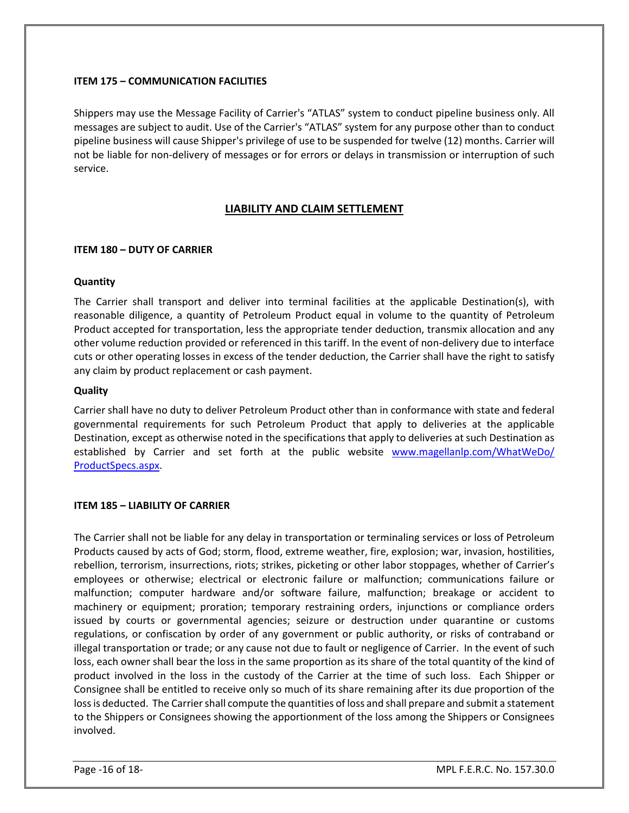#### **ITEM 175 – COMMUNICATION FACILITIES**

Shippers may use the Message Facility of Carrier's "ATLAS" system to conduct pipeline business only. All messages are subject to audit. Use of the Carrier's "ATLAS" system for any purpose other than to conduct pipeline business will cause Shipper's privilege of use to be suspended for twelve (12) months. Carrier will not be liable for non-delivery of messages or for errors or delays in transmission or interruption of such service.

#### **LIABILITY AND CLAIM SETTLEMENT**

#### **ITEM 180 – DUTY OF CARRIER**

#### **Quantity**

The Carrier shall transport and deliver into terminal facilities at the applicable Destination(s), with reasonable diligence, a quantity of Petroleum Product equal in volume to the quantity of Petroleum Product accepted for transportation, less the appropriate tender deduction, transmix allocation and any other volume reduction provided or referenced in this tariff. In the event of non-delivery due to interface cuts or other operating losses in excess of the tender deduction, the Carrier shall have the right to satisfy any claim by product replacement or cash payment.

#### **Quality**

Carrier shall have no duty to deliver Petroleum Product other than in conformance with state and federal governmental requirements for such Petroleum Product that apply to deliveries at the applicable Destination, except as otherwise noted in the specifications that apply to deliveries at such Destination as established by Carrier and set forth at the public website [www.magellanlp.com/WhatWeDo/](http://www.magellanlp.com/WhatWeDo/%20ProductSpecs.aspx)  [ProductSpecs.aspx.](http://www.magellanlp.com/WhatWeDo/%20ProductSpecs.aspx)

#### **ITEM 185 – LIABILITY OF CARRIER**

The Carrier shall not be liable for any delay in transportation or terminaling services or loss of Petroleum Products caused by acts of God; storm, flood, extreme weather, fire, explosion; war, invasion, hostilities, rebellion, terrorism, insurrections, riots; strikes, picketing or other labor stoppages, whether of Carrier's employees or otherwise; electrical or electronic failure or malfunction; communications failure or malfunction; computer hardware and/or software failure, malfunction; breakage or accident to machinery or equipment; proration; temporary restraining orders, injunctions or compliance orders issued by courts or governmental agencies; seizure or destruction under quarantine or customs regulations, or confiscation by order of any government or public authority, or risks of contraband or illegal transportation or trade; or any cause not due to fault or negligence of Carrier. In the event of such loss, each owner shall bear the loss in the same proportion as its share of the total quantity of the kind of product involved in the loss in the custody of the Carrier at the time of such loss. Each Shipper or Consignee shall be entitled to receive only so much of its share remaining after its due proportion of the loss is deducted. The Carrier shall compute the quantities of loss and shall prepare and submit a statement to the Shippers or Consignees showing the apportionment of the loss among the Shippers or Consignees involved.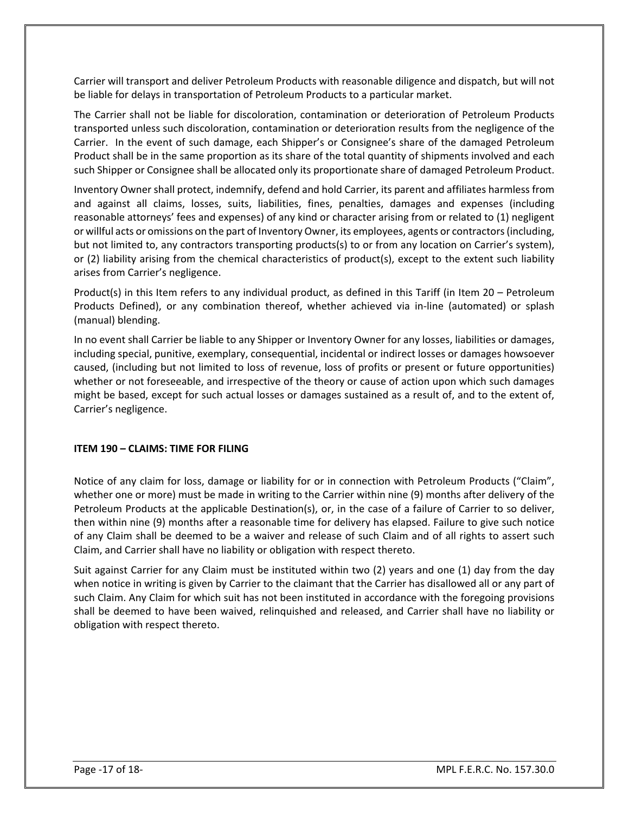Carrier will transport and deliver Petroleum Products with reasonable diligence and dispatch, but will not be liable for delays in transportation of Petroleum Products to a particular market.

The Carrier shall not be liable for discoloration, contamination or deterioration of Petroleum Products transported unless such discoloration, contamination or deterioration results from the negligence of the Carrier. In the event of such damage, each Shipper's or Consignee's share of the damaged Petroleum Product shall be in the same proportion as its share of the total quantity of shipments involved and each such Shipper or Consignee shall be allocated only its proportionate share of damaged Petroleum Product.

Inventory Owner shall protect, indemnify, defend and hold Carrier, its parent and affiliates harmless from and against all claims, losses, suits, liabilities, fines, penalties, damages and expenses (including reasonable attorneys' fees and expenses) of any kind or character arising from or related to (1) negligent or willful acts or omissions on the part of Inventory Owner, its employees, agents or contractors (including, but not limited to, any contractors transporting products(s) to or from any location on Carrier's system), or (2) liability arising from the chemical characteristics of product(s), except to the extent such liability arises from Carrier's negligence.

Product(s) in this Item refers to any individual product, as defined in this Tariff (in Item 20 – Petroleum Products Defined), or any combination thereof, whether achieved via in-line (automated) or splash (manual) blending.

In no event shall Carrier be liable to any Shipper or Inventory Owner for any losses, liabilities or damages, including special, punitive, exemplary, consequential, incidental or indirect losses or damages howsoever caused, (including but not limited to loss of revenue, loss of profits or present or future opportunities) whether or not foreseeable, and irrespective of the theory or cause of action upon which such damages might be based, except for such actual losses or damages sustained as a result of, and to the extent of, Carrier's negligence.

#### **ITEM 190 – CLAIMS: TIME FOR FILING**

Notice of any claim for loss, damage or liability for or in connection with Petroleum Products ("Claim", whether one or more) must be made in writing to the Carrier within nine (9) months after delivery of the Petroleum Products at the applicable Destination(s), or, in the case of a failure of Carrier to so deliver, then within nine (9) months after a reasonable time for delivery has elapsed. Failure to give such notice of any Claim shall be deemed to be a waiver and release of such Claim and of all rights to assert such Claim, and Carrier shall have no liability or obligation with respect thereto.

Suit against Carrier for any Claim must be instituted within two (2) years and one (1) day from the day when notice in writing is given by Carrier to the claimant that the Carrier has disallowed all or any part of such Claim. Any Claim for which suit has not been instituted in accordance with the foregoing provisions shall be deemed to have been waived, relinquished and released, and Carrier shall have no liability or obligation with respect thereto.